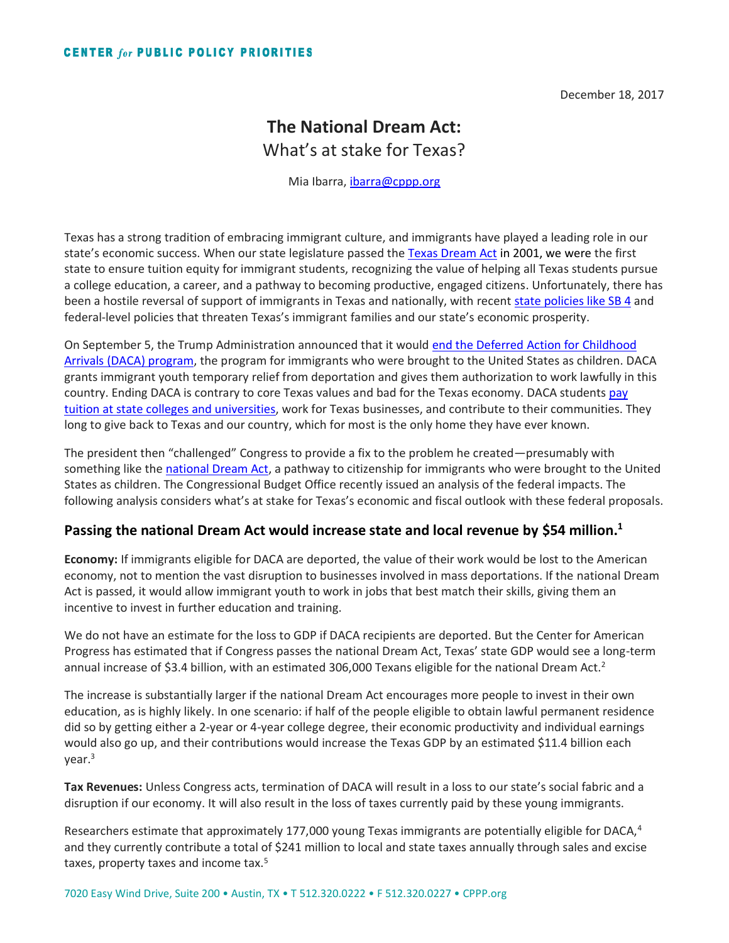December 18, 2017

## **The National Dream Act:** What's at stake for Texas?

Mia Ibarra, [ibarra@cppp.org](mailto:ibarra@cppp.org)

Texas has a strong tradition of embracing immigrant culture, and immigrants have played a leading role in our state's economic success. When our state legislature passed th[e Texas Dream Act](https://forabettertexas.org/images/EO_2017_TxDreamAct_FactSheet.pdf) in 2001, we were the first state to ensure tuition equity for immigrant students, recognizing the value of helping all Texas students pursue a college education, a career, and a pathway to becoming productive, engaged citizens. Unfortunately, there has been a hostile reversal of support of immigrants in Texas and nationally, with recent [state policies like SB 4](https://org2.salsalabs.com/o/6212/t/0/blastContent.jsp?email_blast_KEY=1391257) and federal-level policies that threaten Texas's immigrant families and our state's economic prosperity.

On September 5, the Trump Administration announced that it would [end the Deferred Action for Childhood](http://bettertexasblog.org/2017/09/end-program-young-immigrants-runs-counter-made-america-great/)  [Arrivals \(DACA\) program,](http://bettertexasblog.org/2017/09/end-program-young-immigrants-runs-counter-made-america-great/) the program for immigrants who were brought to the United States as children. DACA grants immigrant youth temporary relief from deportation and gives them authorization to work lawfully in this country. Ending DACA is contrary to core Texas values and bad for the Texas economy. DACA students pay [tuition at state colleges and universities,](https://forabettertexas.org/images/EO_2017_TxDreamAct_FactSheet.pdf) work for Texas businesses, and contribute to their communities. They long to give back to Texas and our country, which for most is the only home they have ever known.

The president then "challenged" Congress to provide a fix to the problem he created—presumably with something like the [national Dream Act,](https://www.congress.gov/bill/115th-congress/senate-bill/1615) a pathway to citizenship for immigrants who were brought to the United States as children. The Congressional Budget Office recently issued an analysis of the federal impacts. The following analysis considers what's at stake for Texas's economic and fiscal outlook with these federal proposals.

## **Passing the national Dream Act would increase state and local revenue by \$54 million.<sup>1</sup>**

**Economy:** If immigrants eligible for DACA are deported, the value of their work would be lost to the American economy, not to mention the vast disruption to businesses involved in mass deportations. If the national Dream Act is passed, it would allow immigrant youth to work in jobs that best match their skills, giving them an incentive to invest in further education and training.

We do not have an estimate for the loss to GDP if DACA recipients are deported. But the Center for American Progress has estimated that if Congress passes the national Dream Act, Texas' state GDP would see a long-term annual increase of \$3.4 billion, with an estimated 306,000 Texans eligible for the national Dream Act.<sup>2</sup>

The increase is substantially larger if the national Dream Act encourages more people to invest in their own education, as is highly likely. In one scenario: if half of the people eligible to obtain lawful permanent residence did so by getting either a 2-year or 4-year college degree, their economic productivity and individual earnings would also go up, and their contributions would increase the Texas GDP by an estimated \$11.4 billion each year. 3

**Tax Revenues:** Unless Congress acts, termination of DACA will result in a loss to our state's social fabric and a disruption if our economy. It will also result in the loss of taxes currently paid by these young immigrants.

Researchers estimate that approximately 177,000 young Texas immigrants are potentially eligible for DACA,<sup>4</sup> and they currently contribute a total of \$241 million to local and state taxes annually through sales and excise taxes, property taxes and income tax.<sup>5</sup>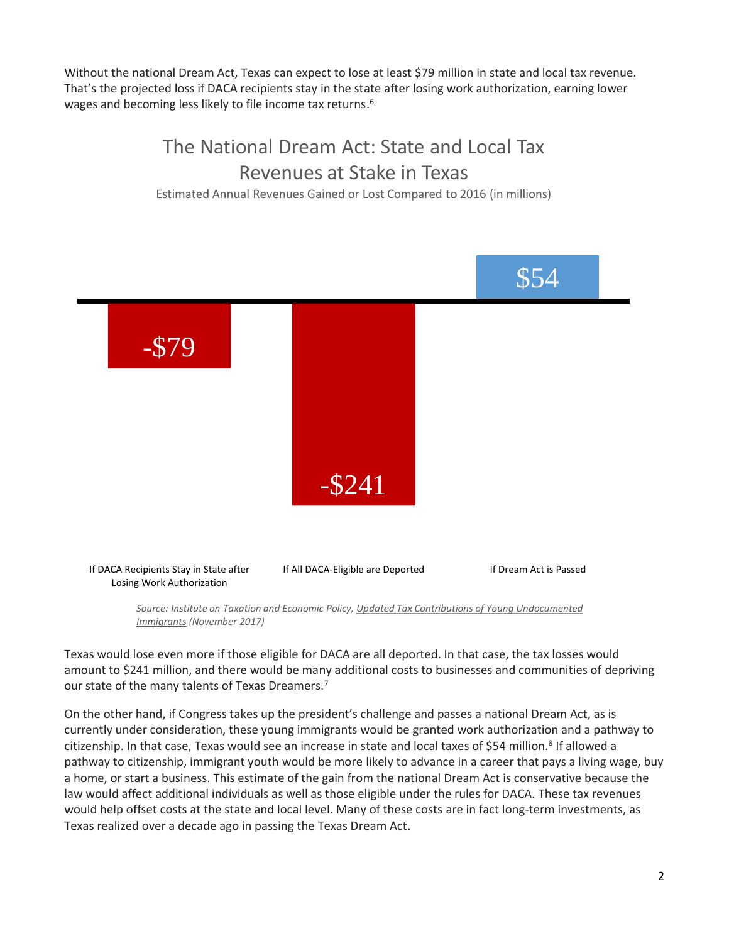Without the national Dream Act, Texas can expect to lose at least \$79 million in state and local tax revenue. That's the projected loss if DACA recipients stay in the state after losing work authorization, earning lower wages and becoming less likely to file income tax returns.<sup>6</sup>

## The National Dream Act: State and Local Tax Revenues at Stake in Texas

Estimated Annual Revenues Gained or Lost Compared to 2016 (in millions)



*Source: Institute on Taxation and Economic Policy, Updated Tax Contributions of Young Undocumented Immigrants (November 2017)*

Texas would lose even more if those eligible for DACA are all deported. In that case, the tax losses would amount to \$241 million, and there would be many additional costs to businesses and communities of depriving our state of the many talents of Texas Dreamers.<sup>7</sup>

On the other hand, if Congress takes up the president's challenge and passes a national Dream Act, as is currently under consideration, these young immigrants would be granted work authorization and a pathway to citizenship. In that case, Texas would see an increase in state and local taxes of \$54 million.<sup>8</sup> If allowed a pathway to citizenship, immigrant youth would be more likely to advance in a career that pays a living wage, buy a home, or start a business. This estimate of the gain from the national Dream Act is conservative because the law would affect additional individuals as well as those eligible under the rules for DACA. These tax revenues would help offset costs at the state and local level. Many of these costs are in fact long-term investments, as Texas realized over a decade ago in passing the Texas Dream Act.